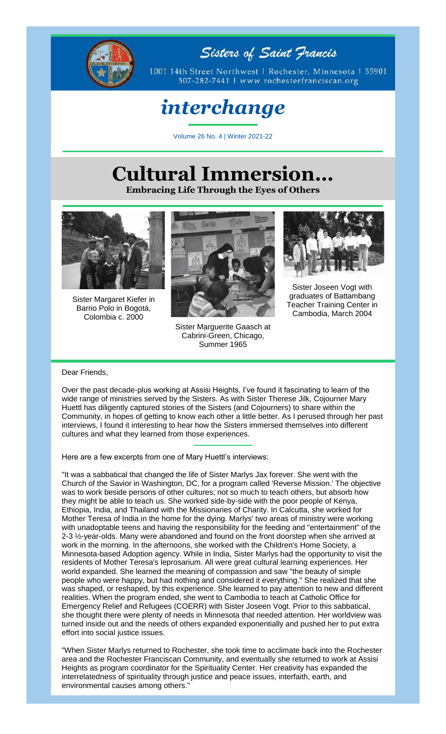

Sisters of Saint Francis

1001 14th Street Northwest | Rochester, Minnesota | 55901 507-282-7441 | www.rochesterfranciscan.org

## *interchange*

Volume 26 No. 4 | Winter 2021-22

## **Cultural Immersion…**

**Embracing Life Through the Eyes of Others**



Sister Margaret Kiefer in Barrio Polo in Bogotá, Colombia c. 2000



Sister Marguerite Gaasch at Cabrini-Green, Chicago, Summer 1965



Sister Joseen Vogt with graduates of Battambang Teacher Training Center in Cambodia, March 2004

## Dear Friends,

Over the past decade-plus working at Assisi Heights, I've found it fascinating to learn of the wide range of ministries served by the Sisters. As with Sister Therese Jilk, Cojourner Mary Huettl has diligently captured stories of the Sisters (and Cojourners) to share within the Community, in hopes of getting to know each other a little better. As I perused through her past interviews, I found it interesting to hear how the Sisters immersed themselves into different cultures and what they learned from those experiences.

Here are a few excerpts from one of Mary Huettl's interviews:

"It was a sabbatical that changed the life of Sister Marlys Jax forever. She went with the Church of the Savior in Washington, DC, for a program called 'Reverse Mission.' The objective was to work beside persons of other cultures; not so much to teach others, but absorb how they might be able to teach us. She worked side-by-side with the poor people of Kenya, Ethiopia, India, and Thailand with the Missionaries of Charity. In Calcutta, she worked for Mother Teresa of India in the home for the dying. Marlys' two areas of ministry were working with unadoptable teens and having the responsibility for the feeding and "entertainment" of the 2-3 ½-year-olds. Many were abandoned and found on the front doorstep when she arrived at work in the morning. In the afternoons, she worked with the Children's Home Society, a Minnesota-based Adoption agency. While in India, Sister Marlys had the opportunity to visit the residents of Mother Teresa's leprosarium. All were great cultural learning experiences. Her world expanded. She learned the meaning of compassion and saw "the beauty of simple people who were happy, but had nothing and considered it everything." She realized that she was shaped, or reshaped, by this experience. She learned to pay attention to new and different realities. When the program ended, she went to Cambodia to teach at Catholic Office for Emergency Relief and Refugees (COERR) with Sister Joseen Vogt. Prior to this sabbatical, she thought there were plenty of needs in Minnesota that needed attention. Her worldview was turned inside out and the needs of others expanded exponentially and pushed her to put extra effort into social justice issues.

"When Sister Marlys returned to Rochester, she took time to acclimate back into the Rochester area and the Rochester Franciscan Community, and eventually she returned to work at Assisi Heights as program coordinator for the Spirituality Center. Her creativity has expanded the interrelatedness of spirituality through justice and peace issues, interfaith, earth, and environmental causes among others."